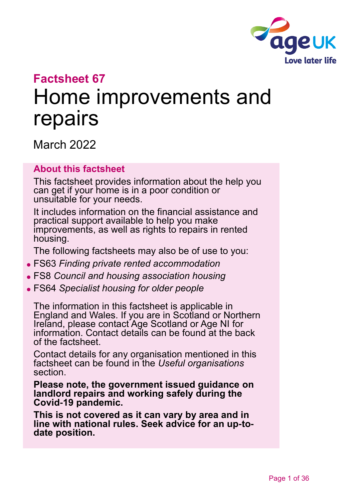

# **Factsheet 67** Home improvements and repairs

March 2022

#### **About this factsheet**

This factsheet provides information about the help you can get if your home is in a poor condition or unsuitable for your needs.

It includes information on the financial assistance and practical support available to help you make improvements, as well as rights to repairs in rented housing.

The following factsheets may also be of use to you:

- ⚫ FS63 *[Finding private rented accommodation](https://www.ageuk.org.uk/globalassets/age-uk/documents/factsheets/fs63_finding_private_rented_accommodation_fcs.pdf)*
- ⚫ FS8 *[Council and housing association housing](https://www.ageuk.org.uk/globalassets/age-uk/documents/factsheets/fs8_council_and_housing_association_housing_fcs.pdf)*
- ⚫ FS64 *[Specialist housing for older people](https://www.ageuk.org.uk/globalassets/age-uk/documents/factsheets/fs64_specialist_housing_for_older_people_fcs.pdf)*

The information in this factsheet is applicable in England and Wales. If you are in Scotland or Northern Ireland, please contact [Age Scotland or Age NI](#page-34-0) for information. Contact details can be found at the back of the factsheet.

Contact details for any organisation mentioned in this factsheet can be found in the *[Useful organisations](#page-31-0)* section.

**Please note, the government issued guidance on landlord repairs and working safely during the Covid-19 pandemic.** 

**This is not covered as it can vary by area and in line with national rules. Seek advice for an up-todate position.**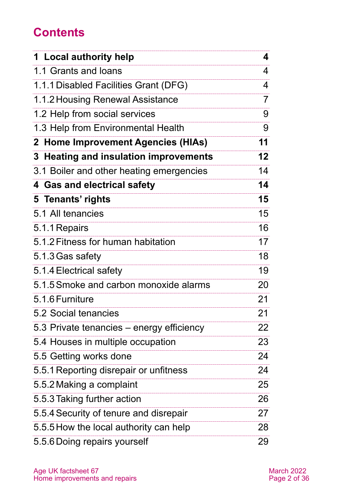# **Contents**

| 1 Local authority help                    | 4               |
|-------------------------------------------|-----------------|
| 1.1 Grants and loans                      | 4               |
| 1.1.1 Disabled Facilities Grant (DFG)     | 4               |
| 1.1.2 Housing Renewal Assistance          | 7               |
| 1.2 Help from social services             | 9               |
| 1.3 Help from Environmental Health        | 9               |
| 2 Home Improvement Agencies (HIAs)        | 11              |
| 3 Heating and insulation improvements     | 12 <sub>2</sub> |
| 3.1 Boiler and other heating emergencies  | 14              |
| 4 Gas and electrical safety               | 14              |
| 5 Tenants' rights                         | 15              |
| 5.1 All tenancies                         | 15              |
| 5.1.1 Repairs                             | 16              |
| 5.1.2 Fitness for human habitation        | 17              |
| 5.1.3 Gas safety                          | 18              |
| 5.1.4 Electrical safety                   | 19              |
| 5.1.5 Smoke and carbon monoxide alarms    | 20              |
| 5.1.6 Furniture                           | 21              |
| 5.2 Social tenancies                      | 21              |
| 5.3 Private tenancies – energy efficiency | 22              |
| 5.4 Houses in multiple occupation         | 23              |
| 5.5 Getting works done                    | 24              |
| 5.5.1 Reporting disrepair or unfitness    | 24              |
| 5.5.2 Making a complaint                  | 25              |
| 5.5.3 Taking further action               | 26              |
| 5.5.4 Security of tenure and disrepair    | 27              |
| 5.5.5 How the local authority can help    | 28              |
| 5.5.6 Doing repairs yourself              | 29              |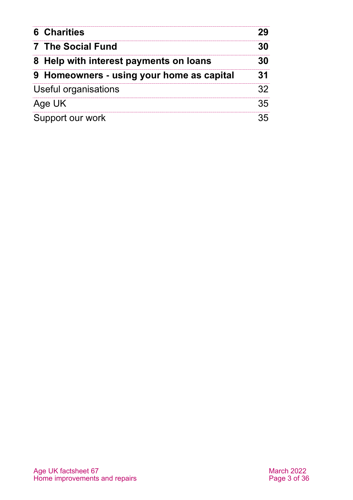| <b>6 Charities</b>                        |    |
|-------------------------------------------|----|
| 7 The Social Fund                         |    |
| 8 Help with interest payments on loans    | RΩ |
| 9 Homeowners - using your home as capital | 31 |
| Useful organisations                      | 32 |
| Age UK                                    | 35 |
| Support our work                          |    |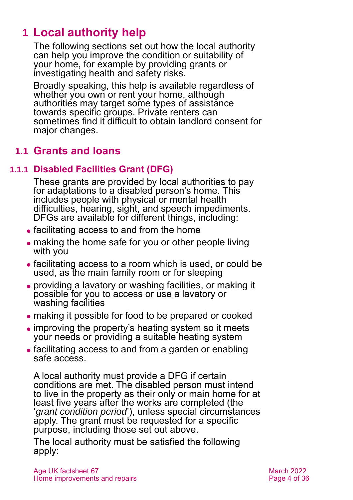# <span id="page-3-0"></span>**1 Local authority help**

The following sections set out how the local authority can help you improve the condition or suitability of your home, for example by providing grants or investigating health and safety risks.

Broadly speaking, this help is available regardless of whether you own or rent your home, although authorities may target some types of assistance towards specific groups. Private renters can sometimes find it difficult to obtain landlord consent for major changes.

# **1.1 Grants and loans**

### **1.1.1 Disabled Facilities Grant (DFG)**

These grants are provided by local authorities to pay for adaptations to a disabled person's home. This includes people with physical or mental health difficulties, hearing, sight, and speech impediments. DFGs are available for different things, including:

- ⚫ facilitating access to and from the home
- making the home safe for you or other people living with you
- ⚫ facilitating access to a room which is used, or could be used, as the main family room or for sleeping
- ⚫ providing a lavatory or washing facilities, or making it possible for you to access or use a lavatory or washing facilities
- ⚫ making it possible for food to be prepared or cooked
- improving the property's heating system so it meets your needs or providing a suitable heating system
- ⚫ facilitating access to and from a garden or enabling safe access.

A local authority must provide a DFG if certain conditions are met. The disabled person must intend to live in the property as their only or main home for at least five years after the works are completed (the '*grant condition period*'), unless special circumstances apply. The grant must be requested for a specific purpose, including those set out above.

The local authority must be satisfied the following apply: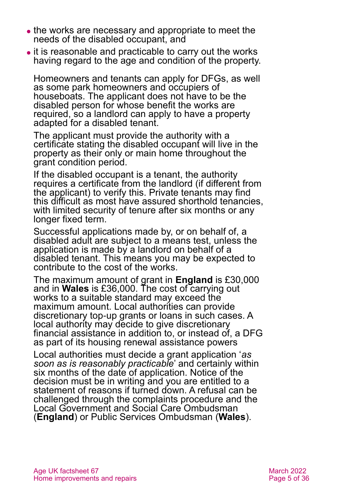- ⚫ the works are necessary and appropriate to meet the needs of the disabled occupant, and
- ⚫ it is reasonable and practicable to carry out the works having regard to the age and condition of the property.

Homeowners and tenants can apply for DFGs, as well as some park homeowners and occupiers of houseboats. The applicant does not have to be the disabled person for whose benefit the works are required, so a landlord can apply to have a property adapted for a disabled tenant.

The applicant must provide the authority with a certificate stating the disabled occupant will live in the property as their only or main home throughout the grant condition period.

If the disabled occupant is a tenant, the authority requires a certificate from the landlord (if different from the applicant) to verify this. Private tenants may find this difficult as most have assured shorthold tenancies, with limited security of tenure after six months or any longer fixed term.

Successful applications made by, or on behalf of, a disabled adult are subject to a means test, unless the application is made by a landlord on behalf of a disabled tenant. This means you may be expected to contribute to the cost of the works.

The maximum amount of grant in **England** is £30,000 and in **Wales** is £36,000. The cost of carrying out works to a suitable standard may exceed the maximum amount. Local authorities can provide discretionary top-up grants or loans in such cases. A local authority may decide to give discretionary financial assistance in addition to, or instead of, a DFG as part of its housing renewal assistance powers

Local authorities must decide a grant application '*as soon as is reasonably practicable*' and certainly within six months of the date of application. Notice of the decision must be in writing and you are entitled to a statement of reasons if turned down. A refusal can be challenged through the complaints procedure and the [Local Government and Social Care Ombudsman](#page-32-0) (**England**) or [Public Services Ombudsman](#page-32-1) (**Wales**).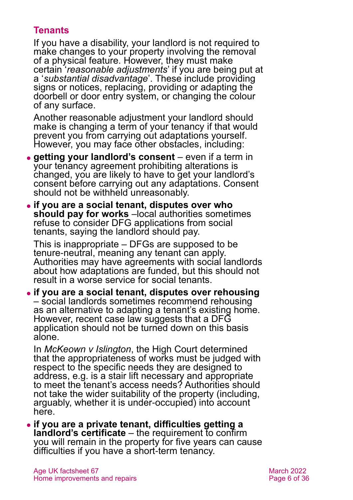### **Tenants**

If you have a disability, your landlord is not required to make changes to your property involving the removal of a physical feature. However, they must make certain '*reasonable adjustments*' if you are being put at a '*substantial disadvantage*'. These include providing signs or notices, replacing, providing or adapting the doorbell or door entry system, or changing the colour of any surface.

Another reasonable adjustment your landlord should make is changing a term of your tenancy if that would prevent you from carrying out adaptations yourself. However, you may face other obstacles, including:

- ⚫ **getting your landlord's consent** even if a term in your tenancy agreement prohibiting alterations is changed, you are likely to have to get your landlord's consent before carrying out any adaptations. Consent should not be withheld unreasonably.
- ⚫ **if you are a social tenant, disputes over who should pay for works** –local authorities sometimes refuse to consider DFG applications from social tenants, saying the landlord should pay.

This is inappropriate – DFGs are supposed to be tenure-neutral, meaning any tenant can apply. Authorities may have agreements with social landlords about how adaptations are funded, but this should not result in a worse service for social tenants.

⚫ **if you are a social tenant, disputes over rehousing** – social landlords sometimes recommend rehousing as an alternative to adapting a tenant's existing home. However, recent case law suggests that a DFG application should not be turned down on this basis alone.

In *[McKeown v Islington](https://www.bailii.org/ew/cases/EWHC/Admin/2020/779.html)*, the High Court determined that the appropriateness of works must be judged with respect to the specific needs they are designed to address, e.g. is a stair lift necessary and appropriate to meet the tenant's access needs? Authorities should not take the wider suitability of the property (including, arguably, whether it is under-occupied) into account here.

⚫ **if you are a private tenant, difficulties getting a landlord's certificate** – the requirement to confirm you will remain in the property for five years can cause difficulties if you have a short-term tenancy.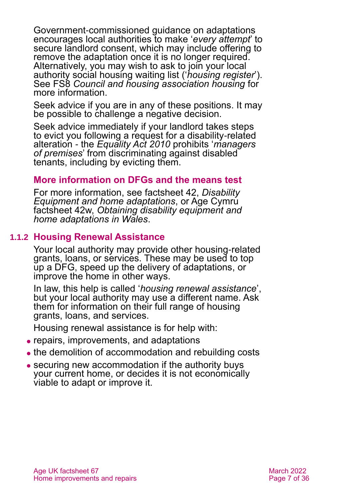Government-commissioned guidance on adaptations encourages local authorities to make '*every attempt*' to secure landlord consent, which may include offering to remove the adaptation once it is no longer required. Alternatively, you may wish to ask to join your local authority social housing waiting list ('*housing register*'). See FS8 *[Council and housing association housing](https://www.ageuk.org.uk/globalassets/age-uk/documents/factsheets/fs8_council_and_housing_association_housing_fcs.pdf)* for more information.

Seek advice if you are in any of these positions. It may be possible to challenge a negative decision.

Seek advice immediately if your landlord takes steps to evict you following a request for a disability-related alteration - the *Equality Act 2010* prohibits '*managers of premises*' from discriminating against disabled tenants, including by evicting them.

#### **More information on DFGs and the means test**

For more information, see [factsheet 42,](https://www.ageuk.org.uk/globalassets/age-uk/documents/factsheets/fs42_disability_equipment_and_home_adaptations_fcs.pdf) *Disability [Equipment and home adaptations](https://www.ageuk.org.uk/globalassets/age-uk/documents/factsheets/fs42_disability_equipment_and_home_adaptations_fcs.pdf)*, or Age Cymru factsheet 42w, *[Obtaining disability equipment and](https://www.ageuk.org.uk/globalassets/age-cymru/documents/information-guides-and-factsheets/fs42w.pdf)  [home adaptations in Wales](https://www.ageuk.org.uk/globalassets/age-cymru/documents/information-guides-and-factsheets/fs42w.pdf)*.

#### **1.1.2 Housing Renewal Assistance**

Your local authority may provide other housing-related grants, loans, or services. These may be used to top up a DFG, speed up the delivery of adaptations, or improve the home in other ways.

In law, this help is called '*housing renewal assistance*', but your local authority may use a different name. Ask them for information on their full range of housing grants, loans, and services.

Housing renewal assistance is for help with:

- ⚫ repairs, improvements, and adaptations
- the demolition of accommodation and rebuilding costs
- securing new accommodation if the authority buys your current home, or decides it is not economically viable to adapt or improve it.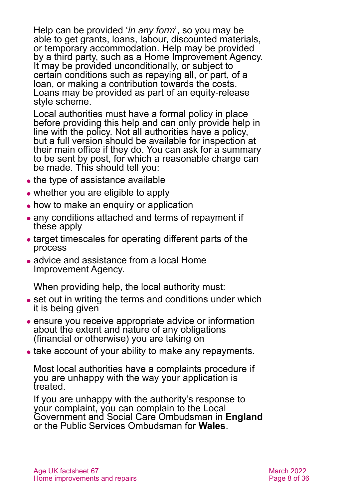Help can be provided '*in any form*', so you may be able to get grants, loans, labour, discounted materials, or temporary accommodation. Help may be provided by a third party, such as a Home Improvement Agency. It may be provided unconditionally, or subject to certain conditions such as repaying all, or part, of a loan, or making a contribution towards the costs. Loans may be provided as part of an equity-release style scheme.

Local authorities must have a formal policy in place before providing this help and can only provide help in line with the policy. Not all authorities have a policy, but a full version should be available for inspection at their main office if they do. You can ask for a summary to be sent by post, for which a reasonable charge can be made. This should tell you:

- the type of assistance available
- whether you are eligible to apply
- how to make an enquiry or application
- any conditions attached and terms of repayment if these apply
- ⚫ target timescales for operating different parts of the process
- advice and assistance from a local Home Improvement Agency.

When providing help, the local authority must:

- set out in writing the terms and conditions under which it is being given
- ⚫ ensure you receive appropriate advice or information about the extent and nature of any obligations (financial or otherwise) you are taking on
- take account of your ability to make any repayments.

Most local authorities have a complaints procedure if you are unhappy with the way your application is treated.

If you are unhappy with the authority's response to your complaint, you can complain to the [Local](#page-32-0)  [Government and Social Care Ombudsman](#page-32-0) in **England** or the [Public Services Ombudsman for](#page-32-1) **Wales**.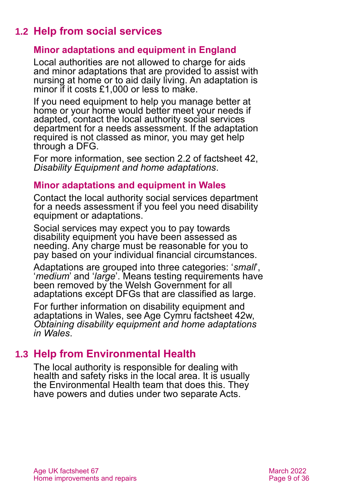# **1.2 Help from social services**

#### **Minor adaptations and equipment in England**

Local authorities are not allowed to charge for aids and minor adaptations that are provided to assist with nursing at home or to aid daily living. An adaptation is minor if it costs £1,000 or less to make.

If you need equipment to help you manage better at home or your home would better meet your needs if adapted, contact the local authority social services department for a needs assessment. If the adaptation required is not classed as minor, you may get help through a DFG.

For more information, see section 2.2 of factsheet 42, *[Disability Equipment and home adaptations](https://www.ageuk.org.uk/globalassets/age-uk/documents/factsheets/fs42_disability_equipment_and_home_adaptations_fcs.pdf)*.

#### **Minor adaptations and equipment in Wales**

Contact the local authority social services department for a needs assessment if you feel you need disability equipment or adaptations.

Social services may expect you to pay towards disability equipment you have been assessed as needing. Any charge must be reasonable for you to pay based on your individual financial circumstances.

Adaptations are grouped into three categories: '*small*', '*medium*' and '*large*'. Means testing requirements have been removed by the Welsh Government for all adaptations except DFGs that are classified as large.

For further information on disability equipment and adaptations in Wales, see Age Cymru factsheet 42w, *[Obtaining disability equipment and home adaptations](https://auk-cms-web2.ageuk.org.uk/globalassets/age-cymru/documents/information-guides-and-factsheets/fs42w.pdf)  [in Wales](https://auk-cms-web2.ageuk.org.uk/globalassets/age-cymru/documents/information-guides-and-factsheets/fs42w.pdf)*.

# <span id="page-8-0"></span>**1.3 Help from Environmental Health**

The local authority is responsible for dealing with health and safety risks in the local area. It is usually the Environmental Health team that does this. They have powers and duties under two separate Acts.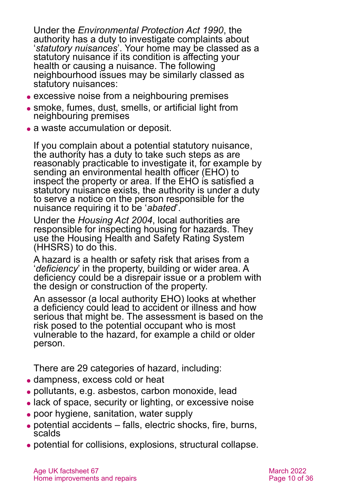Under the *[Environmental Protection Act 1990](http://www.legislation.gov.uk/ukpga/1990/43/contents)*, the authority has a duty to investigate complaints about '*statutory nuisances*'. Your home may be classed as a statutory nuisance if its condition is affecting your health or causing a nuisance. The following neighbourhood issues may be similarly classed as statutory nuisances:

- ⚫ excessive noise from a neighbouring premises
- ⚫ smoke, fumes, dust, smells, or artificial light from neighbouring premises
- a waste accumulation or deposit.

If you complain about a potential statutory nuisance, the authority has a duty to take such steps as are reasonably practicable to investigate it, for example by sending an environmental health officer (EHO) to inspect the property or area. If the EHO is satisfied a statutory nuisance exists, the authority is under a duty to serve a notice on the person responsible for the nuisance requiring it to be '*abated*'.

Under the *[Housing Act 2004](http://www.legislation.gov.uk/ukpga/2004/34/contents)*, local authorities are responsible for inspecting housing for hazards. They use the Housing Health and Safety Rating System (HHSRS) to do this.

A hazard is a health or safety risk that arises from a '*deficiency*' in the property, building or wider area. A deficiency could be a disrepair issue or a problem with the design or construction of the property.

An assessor (a local authority EHO) looks at whether a deficiency could lead to accident or illness and how serious that might be. The assessment is based on the risk posed to the potential occupant who is most vulnerable to the hazard, for example a child or older person.

There are 29 categories of hazard, including:

- ⚫ dampness, excess cold or heat
- ⚫ pollutants, e.g. asbestos, carbon monoxide, lead
- ⚫ lack of space, security or lighting, or excessive noise
- ⚫ poor hygiene, sanitation, water supply
- ⚫ potential accidents falls, electric shocks, fire, burns, scalds
- ⚫ potential for collisions, explosions, structural collapse.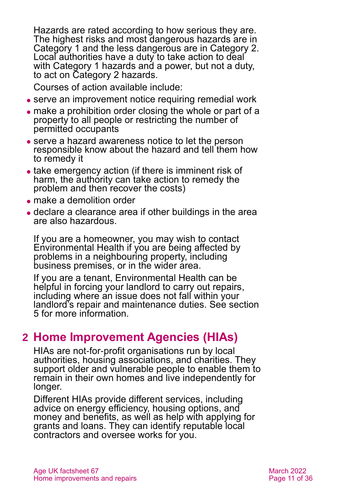Hazards are rated according to how serious they are. The highest risks and most dangerous hazards are in Category 1 and the less dangerous are in Category 2. Local authorities have a duty to take action to deal with Category 1 hazards and a power, but not a duty, to act on Category 2 hazards.

Courses of action available include:

- ⚫ serve an improvement notice requiring remedial work
- ⚫ make a prohibition order closing the whole or part of a property to all people or restricting the number of permitted occupants
- ⚫ serve a hazard awareness notice to let the person responsible know about the hazard and tell them how to remedy it
- take emergency action (if there is imminent risk of harm, the authority can take action to remedy the problem and then recover the costs)
- ⚫ make a demolition order
- ⚫ declare a clearance area if other buildings in the area are also hazardous.

If you are a homeowner, you may wish to contact Environmental Health if you are being affected by problems in a neighbouring property, including business premises, or in the wider area.

If you are a tenant, Environmental Health can be helpful in forcing your landlord to carry out repairs, including where an issue does not fall within your landlord's repair and maintenance duties. See [section](#page-14-0)  [5](#page-14-0) for more information.

# <span id="page-10-0"></span>**2 Home Improvement Agencies (HIAs)**

HIAs are not-for-profit organisations run by local authorities, housing associations, and charities. They support older and vulnerable people to enable them to remain in their own homes and live independently for longer.

Different HIAs provide different services, including advice on energy efficiency, housing options, and money and benefits, as well as help with applying for grants and loans. They can identify reputable local contractors and oversee works for you.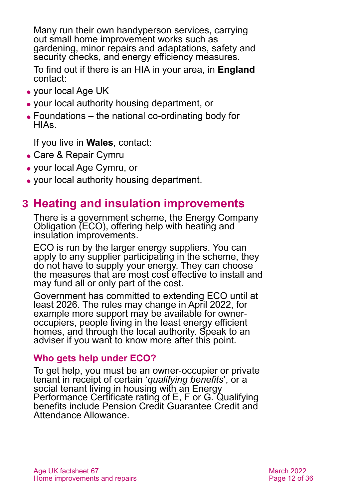Many run their own handyperson services, carrying out small home improvement works such as gardening, minor repairs and adaptations, safety and security checks, and energy efficiency measures.

To find out if there is an HIA in your area, in **England**  contact:

- ⚫ your [local Age UK](#page-34-1)
- ⚫ your local authority housing department, or
- ⚫ [Foundations](#page-31-1) the national co-ordinating body for HIAs.

If you live in **Wales**, contact:

- [Care & Repair Cymru](#page-31-0)
- ⚫ your local [Age Cymru,](#page-34-3) or
- <span id="page-11-0"></span>⚫ your local authority housing department.

# **3 Heating and insulation improvements**

There is a government scheme, the Energy Company Obligation (ECO), offering help with heating and insulation improvements.

ECO is run by the larger energy suppliers. You can apply to any supplier participating in the scheme, they do not have to supply your energy. They can choose the measures that are most cost effective to install and may fund all or only part of the cost.

Government has committed to extending ECO until at least 2026. The rules may change in April 2022, for example more support may be available for owneroccupiers, people living in the least energy efficient homes, and through the local authority. Speak to an adviser if you want to know more after this point.

#### **Who gets help under ECO?**

To get help, you must be an owner-occupier or private tenant in receipt of certain '*qualifying benefits*', or a social tenant living in housing with an Energy Performance Certificate rating of E, F or G. Qualifying benefits include Pension Credit Guarantee Credit and Attendance Allowance.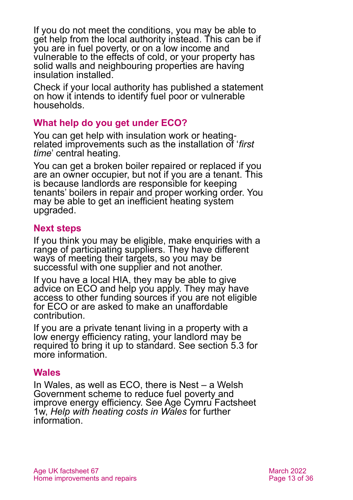If you do not meet the conditions, you may be able to get help from the local authority instead. This can be if you are in fuel poverty, or on a low income and vulnerable to the effects of cold, or your property has solid walls and neighbouring properties are having insulation installed.

Check if your local authority has published a statement on how it intends to identify fuel poor or vulnerable households.

#### **What help do you get under ECO?**

You can get help with insulation work or heatingrelated improvements such as the installation of '*first time*' central heating.

You can get a broken boiler repaired or replaced if you are an owner occupier, but not if you are a tenant. This is because landlords are responsible for keeping tenants' boilers in repair and proper working order. You may be able to get an inefficient heating system upgraded.

#### **Next steps**

If you think you may be eligible, make enquiries with a range of participating suppliers. They have different ways of meeting their targets, so you may be successful with one supplier and not another.

If you have a local HIA, they may be able to give advice on ECO and help you apply. They may have access to other funding sources if you are not eligible for ECO or are asked to make an unaffordable contribution.

If you are a private tenant living in a property with a low energy efficiency rating, your landlord may be required to bring it up to standard. See [section 5.3](#page-21-0) for more information.

#### **Wales**

In Wales, as well as ECO, there is Nest – a Welsh Government scheme to reduce fuel poverty and improve energy efficiency. See Age Cymru Factsheet 1w, *[Help with heating costs in Wales](https://www.ageuk.org.uk/globalassets/age-cymru/documents/information-guides-and-factsheets/fs1w.pdf)* for further information.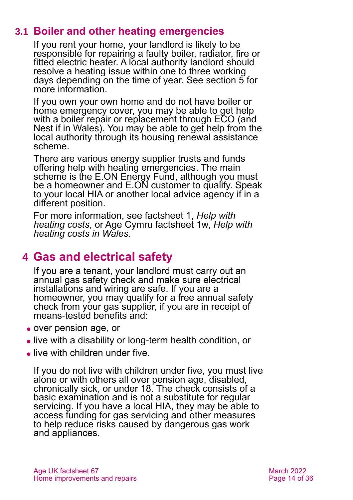# **3.1 Boiler and other heating emergencies**

If you rent your home, your landlord is likely to be responsible for repairing a faulty boiler, radiator, fire or fitted electric heater. A local authority landlord should resolve a heating issue within one to three working days depending on the time of year. See [section 5](#page-14-0) for more information.

If you own your own home and do not have boiler or home emergency cover, you may be able to get help with a boiler repair or replacement through ECO (and Nest if in Wales). You may be able to get help from the local authority through its housing renewal assistance scheme.

There are various energy supplier trusts and funds offering help with heating emergencies. The main scheme is the [E.ON Energy Fund,](https://www.eonenergyfund.com/) although you must be a homeowner and E.ON customer to qualify. Speak to your local HIA or another local advice agency if in a different position.

For more information, see factsheet 1, *[Help with](https://www.ageuk.org.uk/globalassets/age-uk/documents/factsheets/fs1_help_with_heating_costs_fcs.pdf)  [heating costs](https://www.ageuk.org.uk/globalassets/age-uk/documents/factsheets/fs1_help_with_heating_costs_fcs.pdf)*, or Age Cymru factsheet 1w, *[Help with](https://www.ageuk.org.uk/globalassets/age-cymru/documents/information-guides-and-factsheets/fs1w.pdf)  [heating costs in Wales](https://www.ageuk.org.uk/globalassets/age-cymru/documents/information-guides-and-factsheets/fs1w.pdf)*.

# <span id="page-13-0"></span>**4 Gas and electrical safety**

If you are a tenant, your landlord must carry out an annual gas safety check and make sure electrical installations and wiring are safe. If you are a homeowner, you may qualify for a free annual safety check from your gas supplier, if you are in receipt of means-tested benefits and:

- ⚫ over pension age, or
- ⚫ live with a disability or long-term health condition, or
- live with children under five.

If you do not live with children under five, you must live alone or with others all over pension age, disabled, chronically sick, or under 18. The check consists of a basic examination and is not a substitute for regular servicing. If you have a local HIA, they may be able to access funding for gas servicing and other measures to help reduce risks caused by dangerous gas work and appliances.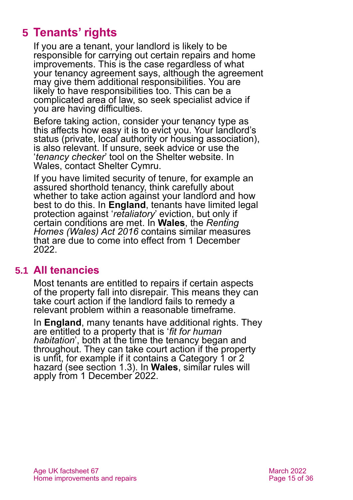# <span id="page-14-0"></span>**5 Tenants' rights**

If you are a tenant, your landlord is likely to be responsible for carrying out certain repairs and home improvements. This is the case regardless of what your tenancy agreement says, although the agreement may give them additional responsibilities. You are likely to have responsibilities too. This can be a complicated area of law, so seek specialist advice if you are having difficulties.

Before taking action, consider your tenancy type as this affects how easy it is to evict you. Your landlord's status (private, local authority or housing association), is also relevant. If unsure, seek advice or use the '*[tenancy checker](https://england.shelter.org.uk/housing_advice/downloads_and_tools/tenancy_rights_checker)*' tool on the [Shelter](#page-32-2) website. In Wales, contact [Shelter Cymru.](#page-32-3)

If you have limited security of tenure, for example an assured shorthold tenancy, think carefully about whether to take action against your landlord and how best to do this. In **England**, tenants have limited legal protection against '*retaliatory*' eviction, but only if certain conditions are met. In **Wales**, the *Renting Homes (Wales) Act 2016* contains similar measures that are due to come into effect from 1 December 2022.

### **5.1 All tenancies**

Most tenants are entitled to repairs if certain aspects of the property fall into disrepair. This means they can take court action if the landlord fails to remedy a relevant problem within a reasonable timeframe.

In **England**, many tenants have additional rights. They are entitled to a property that is '*fit for human habitation*', both at the time the tenancy began and throughout. They can take court action if the property is unfit, for example if it contains a Category 1 or 2 hazard (see [section 1.3\)](#page-8-0). In **Wales**, similar rules will apply from 1 December 2022.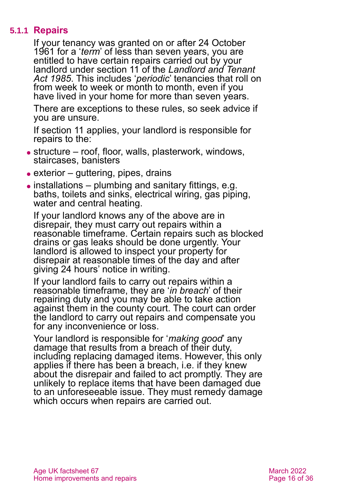#### **5.1.1 Repairs**

<span id="page-15-0"></span>If your tenancy was granted on or after 24 October 1961 for a '*term*' of less than seven years, you are entitled to have certain repairs carried out by your landlord under section 11 of the *[Landlord and Tenant](http://www.legislation.gov.uk/ukpga/1985/70)  [Act 1985](http://www.legislation.gov.uk/ukpga/1985/70)*. This includes '*periodic*' tenancies that roll on from week to week or month to month, even if you have lived in your home for more than seven years.

There are exceptions to these rules, so seek advice if you are unsure.

If section 11 applies, your landlord is responsible for repairs to the:

- ⚫ structure roof, floor, walls, plasterwork, windows, staircases, banisters
- $\bullet$  exterior guttering, pipes, drains
- $\bullet$  installations plumbing and sanitary fittings, e.g. baths, toilets and sinks, electrical wiring, gas piping, water and central heating.

If your landlord knows any of the above are in disrepair, they must carry out repairs within a reasonable timeframe. Certain repairs such as blocked drains or gas leaks should be done urgently. Your landlord is allowed to inspect your property for disrepair at reasonable times of the day and after giving 24 hours' notice in writing.

If your landlord fails to carry out repairs within a reasonable timeframe, they are '*in breach*' of their repairing duty and you may be able to take action against them in the county court. The court can order the landlord to carry out repairs and compensate you for any inconvenience or loss.

Your landlord is responsible for '*making good*' any damage that results from a breach of their duty, including replacing damaged items. However, this only applies if there has been a breach, i.e. if they knew about the disrepair and failed to act promptly. They are unlikely to replace items that have been damaged due to an unforeseeable issue. They must remedy damage which occurs when repairs are carried out.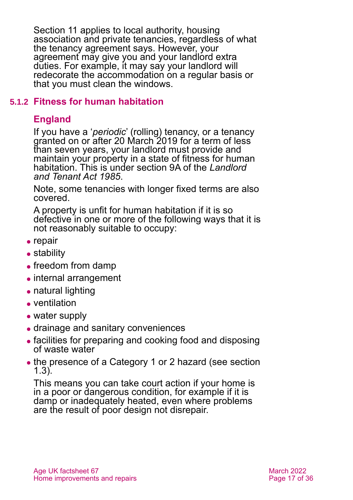Section 11 applies to local authority, housing association and private tenancies, regardless of what the tenancy agreement says. However, your agreement may give you and your landlord extra duties. For example, it may say your landlord will redecorate the accommodation on a regular basis or that you must clean the windows.

#### <span id="page-16-0"></span>**5.1.2 Fitness for human habitation**

### **England**

If you have a '*periodic*' (rolling) tenancy, or a tenancy granted on or after 20 March 2019 for a term of less than seven years, your landlord must provide and maintain your property in a state of fitness for human habitation. This is under section 9A of the *[Landlord](http://www.legislation.gov.uk/ukpga/1985/70)  [and Tenant Act 1985](http://www.legislation.gov.uk/ukpga/1985/70)*.

Note, some tenancies with longer fixed terms are also covered.

A property is unfit for human habitation if it is so defective in one or more of the following ways that it is not reasonably suitable to occupy:

- $\bullet$  repair
- stability
- freedom from damp
- internal arrangement
- ⚫ natural lighting
- ⚫ ventilation
- water supply
- ⚫ drainage and sanitary conveniences
- ⚫ facilities for preparing and cooking food and disposing of waste water
- the presence of a Category 1 or 2 hazard (see section [1.3\)](#page-8-0).

This means you can take court action if your home is in a poor or dangerous condition, for example if it is damp or inadequately heated, even where problems are the result of poor design not disrepair.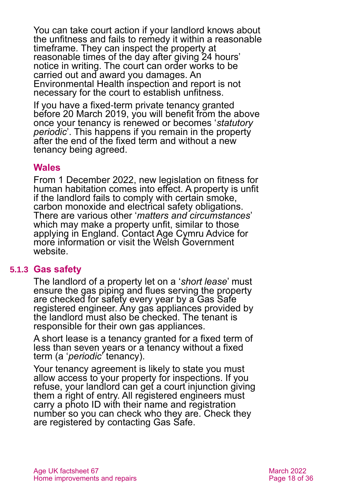You can take court action if your landlord knows about the unfitness and fails to remedy it within a reasonable timeframe. They can inspect the property at reasonable times of the day after giving 24 hours' notice in writing. The court can order works to be carried out and award you damages. An Environmental Health inspection and report is not necessary for the court to establish unfitness.

If you have a fixed-term private tenancy granted before 20 March 2019, you will benefit from the above once your tenancy is renewed or becomes '*statutory periodic*'. This happens if you remain in the property after the end of the fixed term and without a new tenancy being agreed.

#### **Wales**

From 1 December 2022, new legislation on fitness for human habitation comes into effect. A property is unfit if the landlord fails to comply with certain smoke, carbon monoxide and electrical safety obligations. There are various other '*matters and circumstances*' which may make a property unfit, similar to those applying in England. Contact Age Cymru Advice for more information or visit the [Welsh Government](https://gov.wales/fitness-homes-human-habitation-guidance-landlords)  [website.](https://gov.wales/fitness-homes-human-habitation-guidance-landlords)

#### **5.1.3 Gas safety**

The landlord of a property let on a '*short lease*' must ensure the gas piping and flues serving the property are checked for safety every year by a [Gas Safe](https://www.gassaferegister.co.uk/)  [registered](https://www.gassaferegister.co.uk/) engineer. Any gas appliances provided by the landlord must also be checked. The tenant is responsible for their own gas appliances.

A short lease is a tenancy granted for a fixed term of less than seven years or a tenancy without a fixed term (a '*periodic*' tenancy).

Your tenancy agreement is likely to state you must allow access to your property for inspections. If you refuse, your landlord can get a court injunction giving them a right of entry. All registered engineers must carry a photo ID with their name and registration number so you can check who they are. Check they are registered by contacting [Gas Safe.](#page-31-2)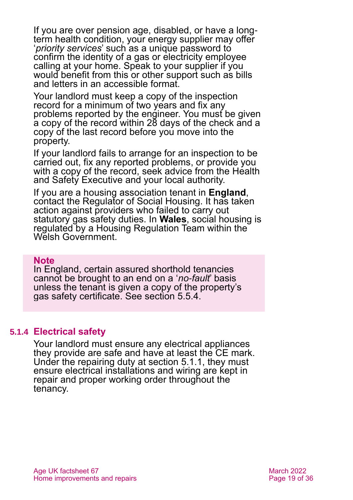If you are over pension age, disabled, or have a longterm health condition, your energy supplier may offer '*priority services*' such as a unique password to confirm the identity of a gas or electricity employee calling at your home. Speak to your supplier if you would benefit from this or other support such as bills and letters in an accessible format.

Your landlord must keep a copy of the inspection record for a minimum of two years and fix any problems reported by the engineer. You must be given a copy of the record within 28 days of the check and a copy of the last record before you move into the property.

If your landlord fails to arrange for an inspection to be carried out, fix any reported problems, or provide you with a copy of the record, seek advice from the [Health](#page-32-4)  [and Safety Executive](#page-32-4) and your local authority.

If you are a housing association tenant in **England**, contact the Regulator of Social Housing. It has taken action against providers who failed to carry out statutory gas safety duties. In **Wales**, social housing is regulated by a Housing Regulation Team within the [Welsh Government.](#page-33-0)

#### **Note**

In England, certain assured shorthold tenancies cannot be brought to an end on a '*no-fault*' basis unless the tenant is given a copy of the property's gas safety certificate. See [section 5.5.4.](#page-26-0)

#### **5.1.4 Electrical safety**

Your landlord must ensure any electrical appliances they provide are safe and have at least the CE mark. Under the repairing duty at section [5.1.1,](#page-15-0) they must ensure electrical installations and wiring are kept in repair and proper working order throughout the tenancy.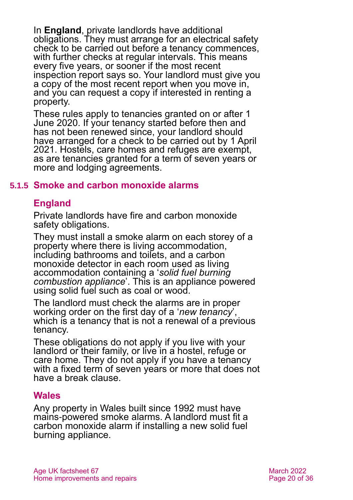In **England**, private landlords have additional obligations. They must arrange for an electrical safety check to be carried out before a tenancy commences, with further checks at regular intervals. This means every five years, or sooner if the most recent inspection report says so. Your landlord must give you a copy of the most recent report when you move in, and you can request a copy if interested in renting a property.

These rules apply to tenancies granted on or after 1 June 2020. If your tenancy started before then and has not been renewed since, your landlord should have arranged for a check to be carried out by 1 April 2021. Hostels, care homes and refuges are exempt, as are tenancies granted for a term of seven years or more and lodging agreements.

#### **5.1.5 Smoke and carbon monoxide alarms**

#### **England**

Private landlords have fire and carbon monoxide safety obligations.

They must install a smoke alarm on each storey of a property where there is living accommodation, including bathrooms and toilets, and a carbon monoxide detector in each room used as living accommodation containing a '*solid fuel burning combustion appliance*'. This is an appliance powered using solid fuel such as coal or wood.

The landlord must check the alarms are in proper working order on the first day of a '*new tenancy*', which is a tenancy that is not a renewal of a previous tenancy.

These obligations do not apply if you live with your landlord or their family, or live in a hostel, refuge or care home. They do not apply if you have a tenancy with a fixed term of seven years or more that does not have a break clause.

#### **Wales**

Any property in Wales built since 1992 must have mains-powered smoke alarms. A landlord must fit a carbon monoxide alarm if installing a new solid fuel burning appliance.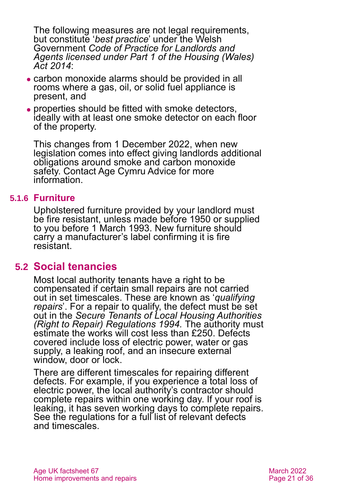The following measures are not legal requirements, but constitute '*best practice*' under the Welsh Government *[Code of Practice for Landlords and](https://www.rentsmart.gov.wales/Uploads/Docs/Code%20of%20practice%20for%20Landlords%20and%20Agents%20licensed%20under%20Part%201%20of%20the%20Housing%20(Wales)%20Act%202014%20-%20English%20-%20Doc%201.pdf)  [Agents licensed under Part 1 of the Housing \(Wales\)](https://www.rentsmart.gov.wales/Uploads/Docs/Code%20of%20practice%20for%20Landlords%20and%20Agents%20licensed%20under%20Part%201%20of%20the%20Housing%20(Wales)%20Act%202014%20-%20English%20-%20Doc%201.pdf)  [Act 2014](https://www.rentsmart.gov.wales/Uploads/Docs/Code%20of%20practice%20for%20Landlords%20and%20Agents%20licensed%20under%20Part%201%20of%20the%20Housing%20(Wales)%20Act%202014%20-%20English%20-%20Doc%201.pdf)*:

- ⚫ carbon monoxide alarms should be provided in all rooms where a gas, oil, or solid fuel appliance is present, and
- ⚫ properties should be fitted with smoke detectors, ideally with at least one smoke detector on each floor of the property.

This changes from 1 December 2022, when new legislation comes into effect giving landlords additional obligations around smoke and carbon monoxide safety. Contact Age Cymru Advice for more information.

#### **5.1.6 Furniture**

Upholstered furniture provided by your landlord must be fire resistant, unless made before 1950 or supplied to you before 1 March 1993. New furniture should carry a manufacturer's label confirming it is fire resistant.

#### **5.2 Social tenancies**

Most local authority tenants have a right to be compensated if certain small repairs are not carried out in set timescales. These are known as '*qualifying repairs*'. For a repair to qualify, the defect must be set out in the *[Secure Tenants of Local Housing Authorities](http://www.legislation.gov.uk/uksi/1994/133/contents/made)  [\(Right to Repair\) Regulations 1994.](http://www.legislation.gov.uk/uksi/1994/133/contents/made)* The authority must estimate the works will cost less than £250. Defects covered include loss of electric power, water or gas supply, a leaking roof, and an insecure external window, door or lock.

There are different timescales for repairing different defects. For example, if you experience a total loss of electric power, the local authority's contractor should complete repairs within one working day. If your roof is leaking, it has seven working days to complete repairs. See the regulations for a full list of relevant defects and timescales.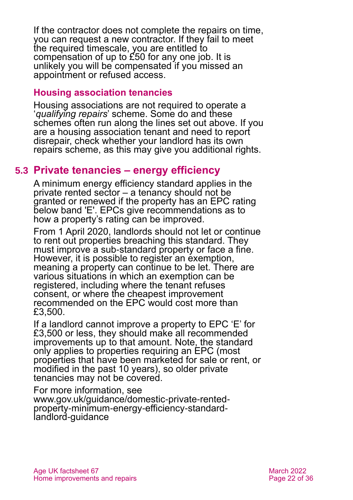If the contractor does not complete the repairs on time, you can request a new contractor. If they fail to meet the required timescale, you are entitled to compensation of up to  $\acute{\text{E}}50$  for any one job. It is unlikely you will be compensated if you missed an appointment or refused access.

#### **Housing association tenancies**

Housing associations are not required to operate a '*qualifying repairs*' scheme. Some do and these schemes often run along the lines set out above. If you are a housing association tenant and need to report disrepair, check whether your landlord has its own repairs scheme, as this may give you additional rights.

### <span id="page-21-0"></span>**5.3 Private tenancies – energy efficiency**

A minimum energy efficiency standard applies in the private rented sector – a tenancy should not be granted or renewed if the property has an EPC rating below band 'E'. EPCs give recommendations as to how a property's rating can be improved.

From 1 April 2020, landlords should not let or continue to rent out properties breaching this standard. They must improve a sub-standard property or face a fine. However, it is possible to register an exemption, meaning a property can continue to be let. There are various situations in which an exemption can be registered, including where the tenant refuses consent, or where the cheapest improvement recommended on the EPC would cost more than £3,500.

If a landlord cannot improve a property to EPC 'E' for £3,500 or less, they should make all recommended improvements up to that amount. Note, the standard only applies to properties requiring an EPC (most properties that have been marketed for sale or rent, or modified in the past 10 years), so older private tenancies may not be covered.

For more information, see [www.gov.uk/guidance/domestic-private-rented](http://www.gov.uk/guidance/domestic-private-rented-property-minimum-energy-efficiency-standard-landlord-guidance)[property-minimum-energy-efficiency-standard](http://www.gov.uk/guidance/domestic-private-rented-property-minimum-energy-efficiency-standard-landlord-guidance)[landlord-guidance](http://www.gov.uk/guidance/domestic-private-rented-property-minimum-energy-efficiency-standard-landlord-guidance)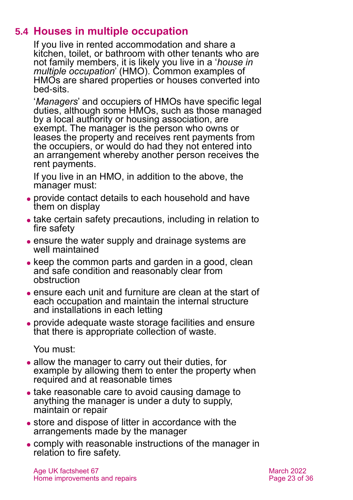# **5.4 Houses in multiple occupation**

If you live in rented accommodation and share a kitchen, toilet, or bathroom with other tenants who are not family members, it is likely you live in a '*house in multiple occupation*' (HMO). Common examples of HMOs are shared properties or houses converted into bed-sits.

'*Managers*' and occupiers of HMOs have specific legal duties, although some HMOs, such as those managed by a local authority or housing association, are exempt. The manager is the person who owns or leases the property and receives rent payments from the occupiers, or would do had they not entered into an arrangement whereby another person receives the rent payments.

If you live in an HMO, in addition to the above, the manager must:

- ⚫ provide contact details to each household and have them on display
- take certain safety precautions, including in relation to fire safety
- ensure the water supply and drainage systems are well maintained
- keep the common parts and garden in a good, clean and safe condition and reasonably clear from obstruction
- ⚫ ensure each unit and furniture are clean at the start of each occupation and maintain the internal structure and installations in each letting
- ⚫ provide adequate waste storage facilities and ensure that there is appropriate collection of waste.

You must:

- allow the manager to carry out their duties, for example by allowing them to enter the property when required and at reasonable times
- ⚫ take reasonable care to avoid causing damage to anything the manager is under a duty to supply, maintain or repair
- store and dispose of litter in accordance with the arrangements made by the manager
- ⚫ comply with reasonable instructions of the manager in relation to fire safety.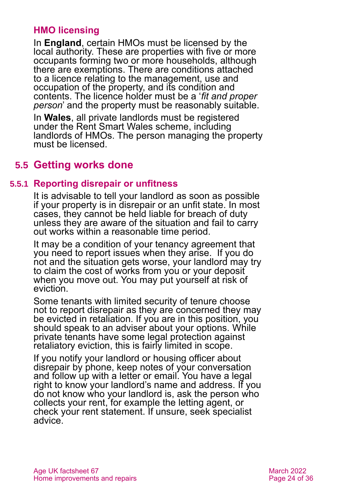#### **HMO licensing**

In **England**, certain HMOs must be licensed by the local authority. These are properties with five or more occupants forming two or more households, although there are exemptions. There are conditions attached to a licence relating to the management, use and occupation of the property, and its condition and contents. The licence holder must be a '*fit and proper person*' and the property must be reasonably suitable.

In **Wales**, all private landlords must be registered under the Rent Smart Wales scheme, including landlords of HMOs. The person managing the property must be licensed.

# **5.5 Getting works done**

#### **5.5.1 Reporting disrepair or unfitness**

It is advisable to tell your landlord as soon as possible if your property is in disrepair or an unfit state. In most cases, they cannot be held liable for breach of duty unless they are aware of the situation and fail to carry out works within a reasonable time period.

It may be a condition of your tenancy agreement that you need to report issues when they arise. If you do not and the situation gets worse, your landlord may try to claim the cost of works from you or your deposit when you move out. You may put yourself at risk of eviction.

Some tenants with limited security of tenure choose not to report disrepair as they are concerned they may be evicted in retaliation. If you are in this position, you should speak to an adviser about your options. While private tenants have some legal protection against retaliatory eviction, this is fairly limited in scope.

If you notify your landlord or housing officer about disrepair by phone, keep notes of your conversation and follow up with a letter or email. You have a legal right to know your landlord's name and address. If you do not know who your landlord is, ask the person who collects your rent, for example the letting agent, or check your rent statement. If unsure, seek specialist advice.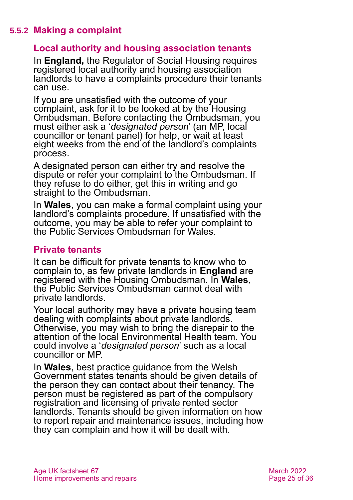#### **5.5.2 Making a complaint**

#### **Local authority and housing association tenants**

In **England,** the Regulator of Social Housing requires registered local authority and housing association landlords to have a complaints procedure their tenants can use.

If you are unsatisfied with the outcome of your complaint, ask for it to be looked at by the [Housing](#page-32-5)  [Ombudsman.](#page-32-5) Before contacting the Ombudsman, you must either ask a '*designated person*' (an MP, local councillor or tenant panel) for help, or wait at least eight weeks from the end of the landlord's complaints process.

A designated person can either try and resolve the dispute or refer your complaint to the Ombudsman. If they refuse to do either, get this in writing and go straight to the Ombudsman.

In **Wales**, you can make a formal complaint using your landlord's complaints procedure. If unsatisfied with the outcome, you may be able to refer your complaint to the [Public Services Ombudsman for Wales.](#page-32-1)

#### **Private tenants**

It can be difficult for private tenants to know who to complain to, as few private landlords in **England** are registered with the Housing Ombudsman. In **Wales**, the Public Services Ombudsman cannot deal with private landlords.

Your local authority may have a private housing team dealing with complaints about private landlords. Otherwise, you may wish to bring the disrepair to the attention of the local Environmental Health team. You could involve a '*designated person*' such as a local councillor or MP.

In **Wales**, best practice guidance from the Welsh Government states tenants should be given details of the person they can contact about their tenancy. The person must be registered as part of the compulsory registration and licensing of private rented sector landlords. Tenants should be given information on how to report repair and maintenance issues, including how they can complain and how it will be dealt with.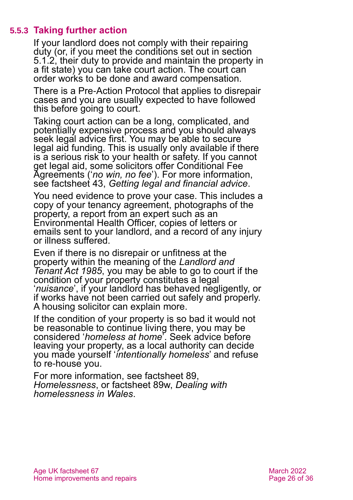#### **5.5.3 Taking further action**

If your landlord does not comply with their repairing duty (or, if you meet the conditions set out in [section](#page-16-0)  [5.1.2,](#page-16-0) their duty to provide and maintain the property in a fit state) you can take court action. The court can order works to be done and award compensation.

There is a [Pre-Action Protocol](https://www.justice.gov.uk/courts/procedure-rules/civil/protocol/prot_hou) that applies to disrepair cases and you are usually expected to have followed this before going to court.

Taking court action can be a long, complicated, and potentially expensive process and you should always seek legal advice first. You may be able to secure legal aid funding. This is usually only available if there is a serious risk to your health or safety. If you cannot get legal aid, some solicitors offer Conditional Fee Agreements ('*no win, no fee*'). For more information, see factsheet 43, *[Getting legal and financial advice](https://www.ageuk.org.uk/globalassets/age-uk/documents/factsheets/fs43-getting-legal-and-financial-advice.pdf)*.

You need evidence to prove your case. This includes a copy of your tenancy agreement, photographs of the property, a report from an expert such as an Environmental Health Officer, copies of letters or emails sent to your landlord, and a record of any injury or illness suffered.

Even if there is no disrepair or unfitness at the property within the meaning of the *Landlord and Tenant Act 1985*, you may be able to go to court if the condition of your property constitutes a legal '*nuisance*', if your landlord has behaved negligently, or if works have not been carried out safely and properly. A housing solicitor can explain more.

If the condition of your property is so bad it would not be reasonable to continue living there, you may be considered '*homeless at home*'. Seek advice before leaving your property, as a local authority can decide you made yourself '*intentionally homeless*' and refuse to re-house you.

For more information, see factsheet 89, *[Homelessness](https://www.ageuk.org.uk/globalassets/age-uk/documents/factsheets/fs89_homelessness_fcs.pdf)*, or factsheet 89w, *[Dealing with](https://www.ageuk.org.uk/globalassets/age-cymru/documents/information-guides-and-factsheets/fs89w.pdf)  [homelessness in Wales](https://www.ageuk.org.uk/globalassets/age-cymru/documents/information-guides-and-factsheets/fs89w.pdf)*.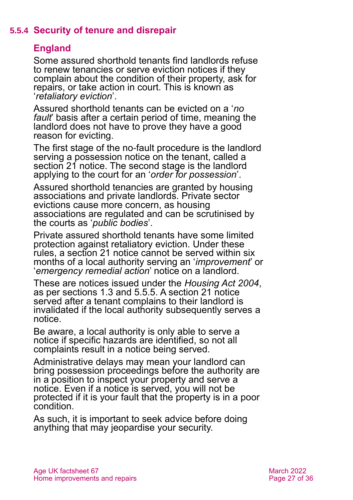#### **5.5.4 Security of tenure and disrepair**

### <span id="page-26-0"></span>**England**

Some assured shorthold tenants find landlords refuse to renew tenancies or serve eviction notices if they complain about the condition of their property, ask for repairs, or take action in court. This is known as '*retaliatory eviction*'.

Assured shorthold tenants can be evicted on a '*no fault*' basis after a certain period of time, meaning the landlord does not have to prove they have a good reason for evicting.

The first stage of the no-fault procedure is the landlord serving a possession notice on the tenant, called a section 21 notice. The second stage is the landlord applying to the court for an '*order for possession*'.

Assured shorthold tenancies are granted by housing associations and private landlords. Private sector evictions cause more concern, as housing associations are regulated and can be scrutinised by the courts as '*public bodies*'.

Private assured shorthold tenants have some limited protection against retaliatory eviction. Under these rules, a section 21 notice cannot be served within six months of a local authority serving an '*improvement*' or '*emergency remedial action*' notice on a landlord.

These are notices issued under the *[Housing Act 2004](http://www.legislation.gov.uk/ukpga/2004/34/contents)*, as per [sections](#page-8-0) [1.3](#page-8-0) [and 5.5.5.](#page-27-0) A section 21 notice served after a tenant complains to their landlord is invalidated if the local authority subsequently serves a notice.

Be aware, a local authority is only able to serve a notice if specific hazards are identified, so not all complaints result in a notice being served.

Administrative delays may mean your landlord can bring possession proceedings before the authority are in a position to inspect your property and serve a notice. Even if a notice is served, you will not be protected if it is your fault that the property is in a poor condition.

As such, it is important to seek advice before doing anything that may jeopardise your security.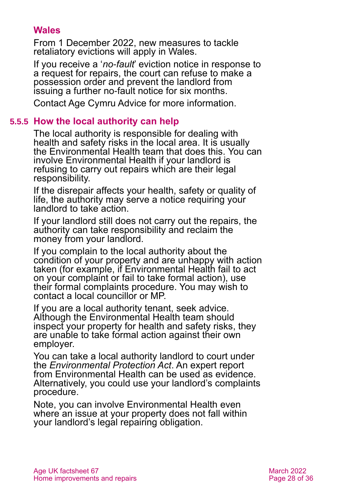#### **Wales**

From 1 December 2022, new measures to tackle retaliatory evictions will apply in Wales.

If you receive a '*no-fault*' eviction notice in response to a request for repairs, the court can refuse to make a possession order and prevent the landlord from issuing a further no-fault notice for six months.

<span id="page-27-0"></span>Contact [Age Cymru Advice](#page-34-4) for more information.

#### **5.5.5 How the local authority can help**

The local authority is responsible for dealing with health and safety risks in the local area. It is usually the Environmental Health team that does this. You can involve Environmental Health if your landlord is refusing to carry out repairs which are their legal responsibility.

If the disrepair affects your health, safety or quality of life, the authority may serve a notice requiring your landlord to take action.

If your landlord still does not carry out the repairs, the authority can take responsibility and reclaim the money from your landlord.

If you complain to the local authority about the condition of your property and are unhappy with action taken (for example, if Environmental Health fail to act on your complaint or fail to take formal action), use their formal complaints procedure. You may wish to contact a local councillor or MP.

If you are a local authority tenant, seek advice. Although the Environmental Health team should inspect your property for health and safety risks, they are unable to take formal action against their own employer.

You can take a local authority landlord to court under the *Environmental Protection Act*. An expert report from Environmental Health can be used as evidence. Alternatively, you could use your landlord's complaints procedure.

Note, you can involve Environmental Health even where an issue at your property does not fall within your landlord's legal repairing obligation.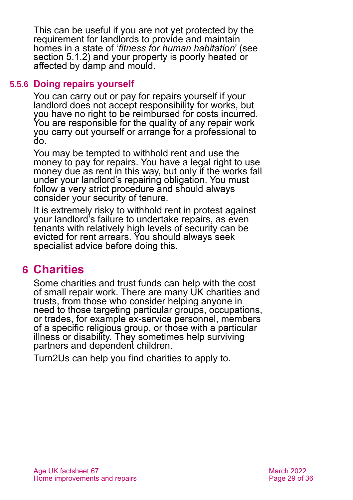This can be useful if you are not yet protected by the requirement for landlords to provide and maintain homes in a state of '*fitness for human habitation*' (see [section 5.1.2\)](#page-16-0) and your property is poorly heated or affected by damp and mould.

#### **5.5.6 Doing repairs yourself**

You can carry out or pay for repairs yourself if your landlord does not accept responsibility for works, but you have no right to be reimbursed for costs incurred. You are responsible for the quality of any repair work you carry out yourself or arrange for a professional to do.

You may be tempted to withhold rent and use the money to pay for repairs. You have a legal right to use money due as rent in this way, but only if the works fall under your landlord's repairing obligation. You must follow a very strict procedure and should always consider your security of tenure.

It is extremely risky to withhold rent in protest against your landlord's failure to undertake repairs, as even tenants with relatively high levels of security can be evicted for rent arrears. You should always seek specialist advice before doing this.

# <span id="page-28-0"></span>**6 Charities**

Some charities and trust funds can help with the cost of small repair work. There are many UK charities and trusts, from those who consider helping anyone in need to those targeting particular groups, occupations, or trades, for example ex-service personnel, members of a specific religious group, or those with a particular illness or disability. They sometimes help surviving partners and dependent children.

[Turn2Us](#page-33-1) can help you find charities to apply to.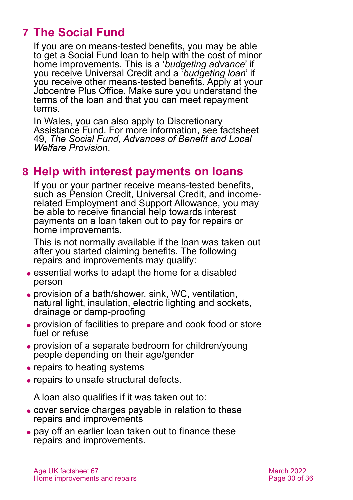# <span id="page-29-0"></span>**7 The Social Fund**

If you are on means-tested benefits, you may be able to get a Social Fund loan to help with the cost of minor home improvements. This is a '*budgeting advance*' if you receive Universal Credit and a '*budgeting loan*' if you receive other means-tested benefits. Apply at your Jobcentre Plus Office. Make sure you understand the terms of the loan and that you can meet repayment terms.

In Wales, you can also apply to [Discretionary](#page-31-3)  [Assistance Fund.](#page-31-3) For more information, see factsheet 49, *[The Social Fund, Advances of Benefit and Local](https://www.ageuk.org.uk/globalassets/age-uk/documents/factsheets/fs49_the_social_fund_advances_of_benefit_and_local_welfare_provision_fcs.pdf)  [Welfare Provision](https://www.ageuk.org.uk/globalassets/age-uk/documents/factsheets/fs49_the_social_fund_advances_of_benefit_and_local_welfare_provision_fcs.pdf)*.

### <span id="page-29-1"></span>**8 Help with interest payments on loans**

If you or your partner receive means-tested benefits, such as Pension Credit, Universal Credit, and incomerelated Employment and Support Allowance, you may be able to receive financial help towards interest payments on a loan taken out to pay for repairs or home improvements.

This is not normally available if the loan was taken out after you started claiming benefits. The following repairs and improvements may qualify:

- essential works to adapt the home for a disabled person
- ⚫ provision of a bath/shower, sink, WC, ventilation, natural light, insulation, electric lighting and sockets, drainage or damp-proofing
- ⚫ provision of facilities to prepare and cook food or store fuel or refuse
- ⚫ provision of a separate bedroom for children/young people depending on their age/gender
- repairs to heating systems
- ⚫ repairs to unsafe structural defects.

A loan also qualifies if it was taken out to:

- ⚫ cover service charges payable in relation to these repairs and improvements
- ⚫ pay off an earlier loan taken out to finance these repairs and improvements.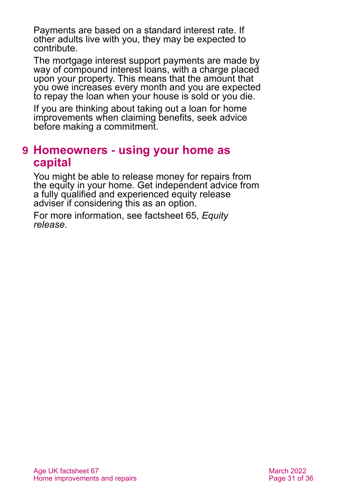Payments are based on a standard interest rate. If other adults live with you, they may be expected to contribute.

The mortgage interest support payments are made by way of compound interest loans, with a charge placed upon your property. This means that the amount that you owe increases every month and you are expected to repay the loan when your house is sold or you die.

If you are thinking about taking out a loan for home improvements when claiming benefits, seek advice before making a commitment.

# <span id="page-30-0"></span>**9 Homeowners - using your home as capital**

You might be able to release money for repairs from the equity in your home. Get independent advice from a fully qualified and experienced equity release adviser if considering this as an option.

For more information, see [factsheet 65,](https://www.ageuk.org.uk/globalassets/age-uk/documents/factsheets/fs65_equity_release_fcs.pdf) *Equity [release](https://www.ageuk.org.uk/globalassets/age-uk/documents/factsheets/fs65_equity_release_fcs.pdf)*.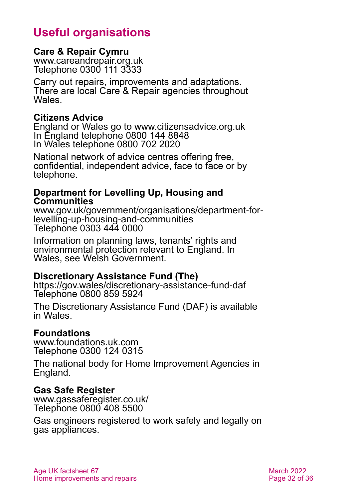# **Useful organisations**

#### <span id="page-31-0"></span>**Care & Repair Cymru**

[www.careandrepair.org.uk](http://www.careandrepair.org.uk/) Telephone 0300 111 3333

Carry out repairs, improvements and adaptations. There are local Care & Repair agencies throughout **Wales** 

#### **Citizens Advice**

England or Wales go to [www.citizensadvice.org.uk](http://www.citizensadvice.org.uk/) In England telephone 0800 144 8848 In Wales telephone 0800 702 2020

National network of advice centres offering free, confidential, independent advice, face to face or by telephone.

#### **Department for Levelling Up, Housing and Communities**

[www.gov.uk/government/organisations/department-for](https://www.gov.uk/government/organisations/department-for-levelling-up-housing-and-communities)[levelling-up-housing-and-communities](https://www.gov.uk/government/organisations/department-for-levelling-up-housing-and-communities) Telephone 0303 444 0000

Information on planning laws, tenants' rights and environmental protection relevant to England. In Wales, see [Welsh Government.](#page-33-0)

#### <span id="page-31-3"></span>**Discretionary Assistance Fund (The)**

<https://gov.wales/discretionary-assistance-fund-daf> Telephone 0800 859 5924

The Discretionary Assistance Fund (DAF) is available in Wales.

#### <span id="page-31-1"></span>**Foundations**

[www.foundations.uk.com](http://www.foundations.uk.com/) Telephone 0300 124 0315

The national body for Home Improvement Agencies in England.

#### <span id="page-31-2"></span>**Gas Safe Register**

[www.gassaferegister.co.uk/](http://www.gassaferegister.co.uk/) Telephone 0800 408 5500

Gas engineers registered to work safely and legally on gas appliances.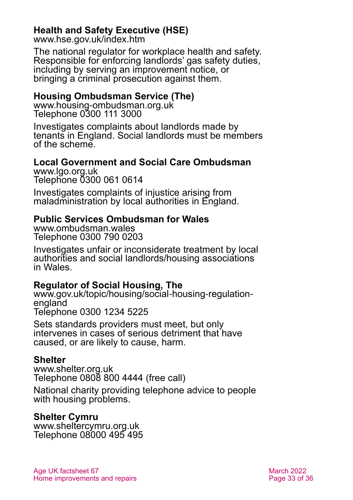#### <span id="page-32-4"></span>**Health and Safety Executive (HSE)**

[www.hse.gov.uk/index.htm](http://www.hse.gov.uk/index.htm)

The national regulator for workplace health and safety. Responsible for enforcing landlords' gas safety duties, including by serving an improvement notice, or bringing a criminal prosecution against them.

#### <span id="page-32-5"></span>**Housing Ombudsman Service (The)**

[www.housing-ombudsman.org.uk](http://www.housing-ombudsman.org.uk/) Telephone 0300 111 3000

Investigates complaints about landlords made by tenants in England. Social landlords must be members of the scheme.

# <span id="page-32-0"></span>**Local Government and Social Care Ombudsman**

[www.lgo.org.uk](http://www.lgo.org.uk/) Telephone 0300 061 0614

Investigates complaints of injustice arising from maladministration by local authorities in England.

#### <span id="page-32-1"></span>**Public Services Ombudsman for Wales**

[www.ombudsman.wales](http://www.ombudsman.wales/) Telephone 0300 790 0203

Investigates unfair or inconsiderate treatment by local authorities and social landlords/housing associations in Wales.

#### <span id="page-32-2"></span>**Regulator of Social Housing, The**

[www.gov.uk/topic/housing/social-housing-regulation](http://www.gov.uk/topic/housing/social-housing-regulation-england)[england](http://www.gov.uk/topic/housing/social-housing-regulation-england) Telephone 0300 1234 5225

Sets standards providers must meet, but only intervenes in cases of serious detriment that have caused, or are likely to cause, harm.

#### **Shelter**

[www.shelter.org.uk](http://www.shelter.org.uk/) Telephone 0808 800 4444 (free call)

National charity providing telephone advice to people with housing problems.

#### <span id="page-32-3"></span>**Shelter Cymru**

[www.sheltercymru.org.uk](http://www.sheltercymru.org.uk/) Telephone 08000 495 495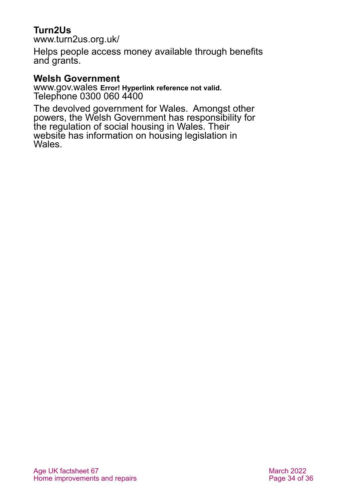### <span id="page-33-1"></span>**Turn2Us**

[www.turn2us.org.uk/](http://www.turn2us.org.uk/)

Helps people access money available through benefits and grants.

#### <span id="page-33-0"></span>**Welsh Government**

[www.gov.wales](http://www.gov.wales/) **Error! Hyperlink reference not valid.** Telephone 0300 060 4400

The devolved government for Wales. Amongst other powers, the Welsh Government has responsibility for the regulation of social housing in Wales. Their website has information on housing legislation in Wales.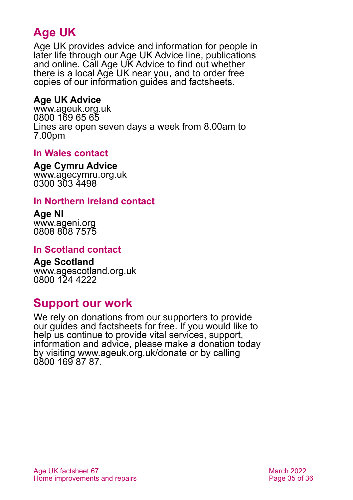# **Age UK**

Age UK provides advice and information for people in later life through our Age UK Advice line, publications and online. Call Age UK Advice to find out whether there is a local Age UK near you, and to order free copies of our information guides and factsheets.

#### <span id="page-34-1"></span>**Age UK Advice**

[www.ageuk.org.uk](http://www.ageuk.org.uk/) 0800 169 65 65 Lines are open seven days a week from 8.00am to 7.00pm

#### <span id="page-34-3"></span>**In Wales contact**

<span id="page-34-4"></span>**Age Cymru Advice**

[www.agecymru.org.uk](http://www.agecymru.org.uk/) 0300 303 4498

#### <span id="page-34-0"></span>**In Northern Ireland contact**

**Age NI** [www.ageni.org](http://www.ageni.org/) 0808 808 7575

#### **In Scotland contact**

<span id="page-34-2"></span>**Age Scotland** [www.agescotland.org.uk](http://www.agescotland.org.uk/) 0800 124 4222

# **Support our work**

We rely on donations from our supporters to provide our guides and factsheets for free. If you would like to help us continue to provide vital services, support, information and advice, please make a donation today by visiting [www.ageuk.org.uk/donate](http://www.ageuk.org.uk/donate) or by calling 0800 169 87 87.